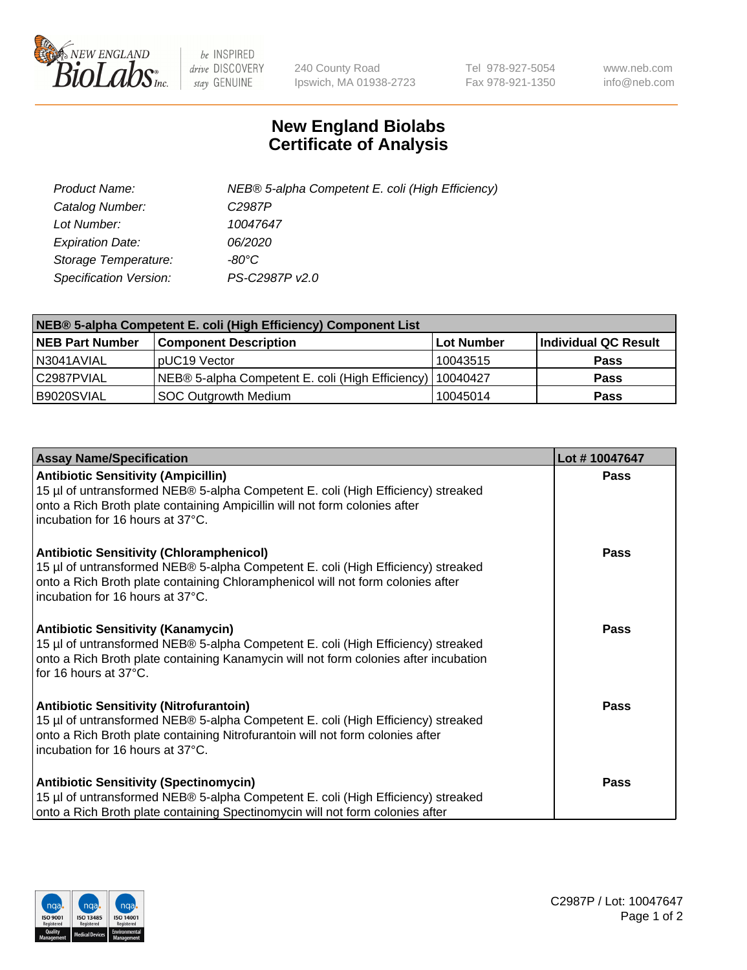

 $be$  INSPIRED drive DISCOVERY stay GENUINE

240 County Road Ipswich, MA 01938-2723 Tel 978-927-5054 Fax 978-921-1350 www.neb.com info@neb.com

## **New England Biolabs Certificate of Analysis**

| Product Name:           | NEB® 5-alpha Competent E. coli (High Efficiency) |
|-------------------------|--------------------------------------------------|
| Catalog Number:         | C <sub>2987</sub> P                              |
| Lot Number:             | 10047647                                         |
| <b>Expiration Date:</b> | <i>06/2020</i>                                   |
| Storage Temperature:    | -80°C                                            |
| Specification Version:  | PS-C2987P v2.0                                   |

| NEB® 5-alpha Competent E. coli (High Efficiency) Component List |                                                  |            |                      |  |
|-----------------------------------------------------------------|--------------------------------------------------|------------|----------------------|--|
| <b>NEB Part Number</b>                                          | <b>Component Description</b>                     | Lot Number | Individual QC Result |  |
| N3041AVIAL                                                      | pUC19 Vector                                     | 10043515   | <b>Pass</b>          |  |
| C2987PVIAL                                                      | NEB® 5-alpha Competent E. coli (High Efficiency) | 10040427   | <b>Pass</b>          |  |
| B9020SVIAL                                                      | <b>SOC Outgrowth Medium</b>                      | 10045014   | <b>Pass</b>          |  |

| <b>Assay Name/Specification</b>                                                                                                                                                                                                                            | Lot #10047647 |
|------------------------------------------------------------------------------------------------------------------------------------------------------------------------------------------------------------------------------------------------------------|---------------|
| <b>Antibiotic Sensitivity (Ampicillin)</b><br>15 µl of untransformed NEB® 5-alpha Competent E. coli (High Efficiency) streaked<br>onto a Rich Broth plate containing Ampicillin will not form colonies after<br>incubation for 16 hours at 37°C.           | <b>Pass</b>   |
| <b>Antibiotic Sensitivity (Chloramphenicol)</b><br>15 µl of untransformed NEB® 5-alpha Competent E. coli (High Efficiency) streaked<br>onto a Rich Broth plate containing Chloramphenicol will not form colonies after<br>incubation for 16 hours at 37°C. | Pass          |
| Antibiotic Sensitivity (Kanamycin)<br>15 µl of untransformed NEB® 5-alpha Competent E. coli (High Efficiency) streaked<br>onto a Rich Broth plate containing Kanamycin will not form colonies after incubation<br>for 16 hours at 37°C.                    | Pass          |
| <b>Antibiotic Sensitivity (Nitrofurantoin)</b><br>15 µl of untransformed NEB® 5-alpha Competent E. coli (High Efficiency) streaked<br>onto a Rich Broth plate containing Nitrofurantoin will not form colonies after<br>incubation for 16 hours at 37°C.   | <b>Pass</b>   |
| <b>Antibiotic Sensitivity (Spectinomycin)</b><br>15 µl of untransformed NEB® 5-alpha Competent E. coli (High Efficiency) streaked<br>onto a Rich Broth plate containing Spectinomycin will not form colonies after                                         | Pass          |